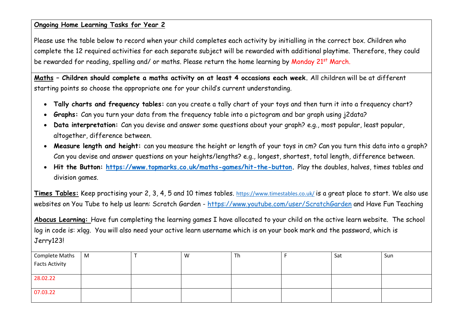#### **Ongoing Home Learning Tasks for Year 2**

Please use the table below to record when your child completes each activity by initialling in the correct box. Children who complete the 12 required activities for each separate subject will be rewarded with additional playtime. Therefore, they could be rewarded for reading, spelling and/ or maths. Please return the home learning by Monday 21<sup>st</sup> March.

**Maths – Children should complete a maths activity on at least 4 occasions each week.** All children will be at different starting points so choose the appropriate one for your child's current understanding.

- **Tally charts and frequency tables:** can you create a tally chart of your toys and then turn it into a frequency chart?
- **Graphs:** Can you turn your data from the frequency table into a pictogram and bar graph using j2data?
- **Data interpretation:** Can you devise and answer some questions about your graph? e.g., most popular, least popular, altogether, difference between.
- **Measure length and height:** can you measure the height or length of your toys in cm? Can you turn this data into a graph? Can you devise and answer questions on your heights/lengths? e.g., longest, shortest, total length, difference between.
- **Hit the Button: [https://www.topmarks.co.uk/maths-games/hit-the-button.](https://www.topmarks.co.uk/maths-games/hit-the-button)** Play the doubles, halves, times tables and division games.

**Times Tables:** Keep practising your 2, 3, 4, 5 and 10 times tables. <https://www.timestables.co.uk/> is a great place to start. We also use websites on You Tube to help us learn: Scratch Garden - <https://www.youtube.com/user/ScratchGarden> and Have Fun Teaching

**Abacus Learning:** Have fun completing the learning games I have allocated to your child on the active learn website. The school log in code is: xlqg. You will also need your active learn username which is on your book mark and the password, which is Jerry123!

| Complete Maths        | M | W | Th | Sat | Sun |
|-----------------------|---|---|----|-----|-----|
| <b>Facts Activity</b> |   |   |    |     |     |
|                       |   |   |    |     |     |
| 28.02.22              |   |   |    |     |     |
|                       |   |   |    |     |     |
| 07.03.22              |   |   |    |     |     |
|                       |   |   |    |     |     |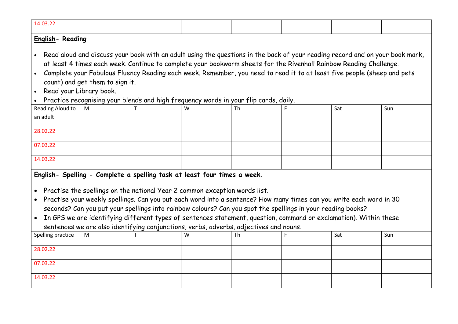| 14.03.22                                                                                                                                                                                                     |   |  |   |    |  |     |     |  |  |  |  |  |
|--------------------------------------------------------------------------------------------------------------------------------------------------------------------------------------------------------------|---|--|---|----|--|-----|-----|--|--|--|--|--|
| English-Reading                                                                                                                                                                                              |   |  |   |    |  |     |     |  |  |  |  |  |
|                                                                                                                                                                                                              |   |  |   |    |  |     |     |  |  |  |  |  |
| . Read aloud and discuss your book with an adult using the questions in the back of your reading record and on your book mark,                                                                               |   |  |   |    |  |     |     |  |  |  |  |  |
| at least 4 times each week. Continue to complete your bookworm sheets for the Rivenhall Rainbow Reading Challenge.                                                                                           |   |  |   |    |  |     |     |  |  |  |  |  |
| • Complete your Fabulous Fluency Reading each week. Remember, you need to read it to at least five people (sheep and pets                                                                                    |   |  |   |    |  |     |     |  |  |  |  |  |
| count) and get them to sign it.                                                                                                                                                                              |   |  |   |    |  |     |     |  |  |  |  |  |
| Read your Library book.<br>$\bullet$                                                                                                                                                                         |   |  |   |    |  |     |     |  |  |  |  |  |
| Practice recognising your blends and high frequency words in your flip cards, daily.                                                                                                                         |   |  |   |    |  |     |     |  |  |  |  |  |
| Reading Aloud to<br>an adult                                                                                                                                                                                 | M |  | W | Th |  | Sat | Sun |  |  |  |  |  |
|                                                                                                                                                                                                              |   |  |   |    |  |     |     |  |  |  |  |  |
| 28.02.22                                                                                                                                                                                                     |   |  |   |    |  |     |     |  |  |  |  |  |
| 07.03.22                                                                                                                                                                                                     |   |  |   |    |  |     |     |  |  |  |  |  |
|                                                                                                                                                                                                              |   |  |   |    |  |     |     |  |  |  |  |  |
| 14.03.22                                                                                                                                                                                                     |   |  |   |    |  |     |     |  |  |  |  |  |
| English- Spelling - Complete a spelling task at least four times a week.                                                                                                                                     |   |  |   |    |  |     |     |  |  |  |  |  |
|                                                                                                                                                                                                              |   |  |   |    |  |     |     |  |  |  |  |  |
| • Practise the spellings on the national Year 2 common exception words list.                                                                                                                                 |   |  |   |    |  |     |     |  |  |  |  |  |
| Practise your weekly spellings. Can you put each word into a sentence? How many times can you write each word in 30<br>$\bullet$                                                                             |   |  |   |    |  |     |     |  |  |  |  |  |
| seconds? Can you put your spellings into rainbow colours? Can you spot the spellings in your reading books?                                                                                                  |   |  |   |    |  |     |     |  |  |  |  |  |
| • In GPS we are identifying different types of sentences statement, question, command or exclamation). Within these<br>sentences we are also identifying conjunctions, verbs, adverbs, adjectives and nouns. |   |  |   |    |  |     |     |  |  |  |  |  |
| Spelling practice                                                                                                                                                                                            | M |  | w | Th |  | Sat | Sun |  |  |  |  |  |
|                                                                                                                                                                                                              |   |  |   |    |  |     |     |  |  |  |  |  |
| 28.02.22                                                                                                                                                                                                     |   |  |   |    |  |     |     |  |  |  |  |  |
| 07.03.22                                                                                                                                                                                                     |   |  |   |    |  |     |     |  |  |  |  |  |
|                                                                                                                                                                                                              |   |  |   |    |  |     |     |  |  |  |  |  |
| 14.03.22                                                                                                                                                                                                     |   |  |   |    |  |     |     |  |  |  |  |  |